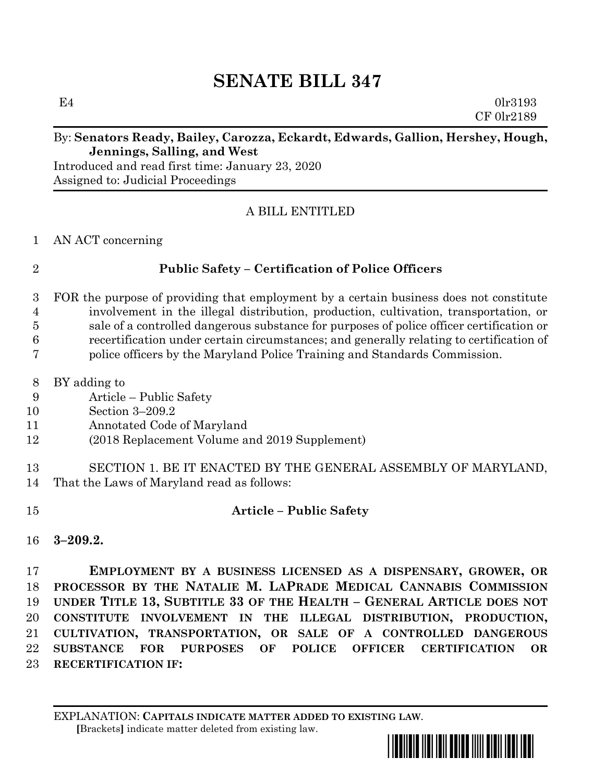# **SENATE BILL 347**

 $E4$  0lr3193 CF 0lr2189

### By: **Senators Ready, Bailey, Carozza, Eckardt, Edwards, Gallion, Hershey, Hough, Jennings, Salling, and West**

Introduced and read first time: January 23, 2020 Assigned to: Judicial Proceedings

### A BILL ENTITLED

AN ACT concerning

## **Public Safety – Certification of Police Officers**

- FOR the purpose of providing that employment by a certain business does not constitute involvement in the illegal distribution, production, cultivation, transportation, or sale of a controlled dangerous substance for purposes of police officer certification or recertification under certain circumstances; and generally relating to certification of
- police officers by the Maryland Police Training and Standards Commission.
- BY adding to
- Article Public Safety
- Section 3–209.2
- Annotated Code of Maryland
- (2018 Replacement Volume and 2019 Supplement)
- SECTION 1. BE IT ENACTED BY THE GENERAL ASSEMBLY OF MARYLAND, That the Laws of Maryland read as follows:
- **Article – Public Safety**
- **3–209.2.**

 **EMPLOYMENT BY A BUSINESS LICENSED AS A DISPENSARY, GROWER, OR PROCESSOR BY THE NATALIE M. LAPRADE MEDICAL CANNABIS COMMISSION UNDER TITLE 13, SUBTITLE 33 OF THE HEALTH – GENERAL ARTICLE DOES NOT CONSTITUTE INVOLVEMENT IN THE ILLEGAL DISTRIBUTION, PRODUCTION, CULTIVATION, TRANSPORTATION, OR SALE OF A CONTROLLED DANGEROUS SUBSTANCE FOR PURPOSES OF POLICE OFFICER CERTIFICATION OR RECERTIFICATION IF:**

EXPLANATION: **CAPITALS INDICATE MATTER ADDED TO EXISTING LAW**.  **[**Brackets**]** indicate matter deleted from existing law.